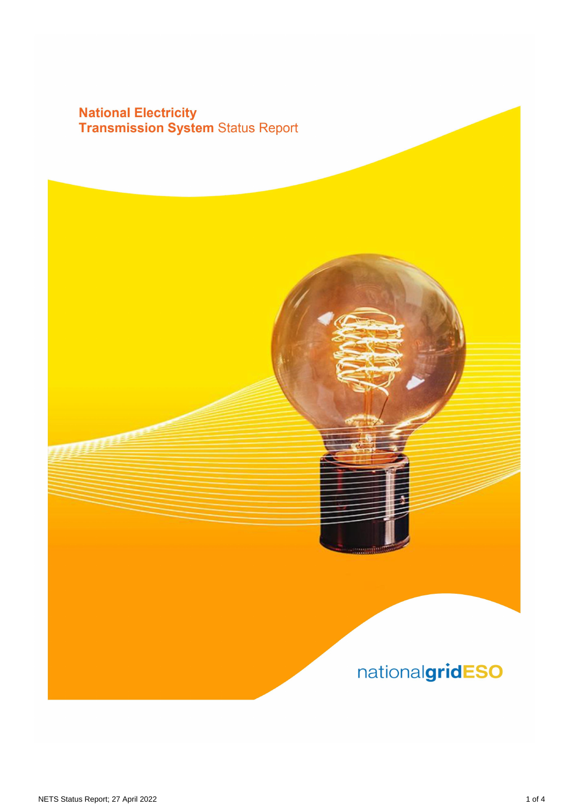## **National Electricity<br>Transmission System Status Report**

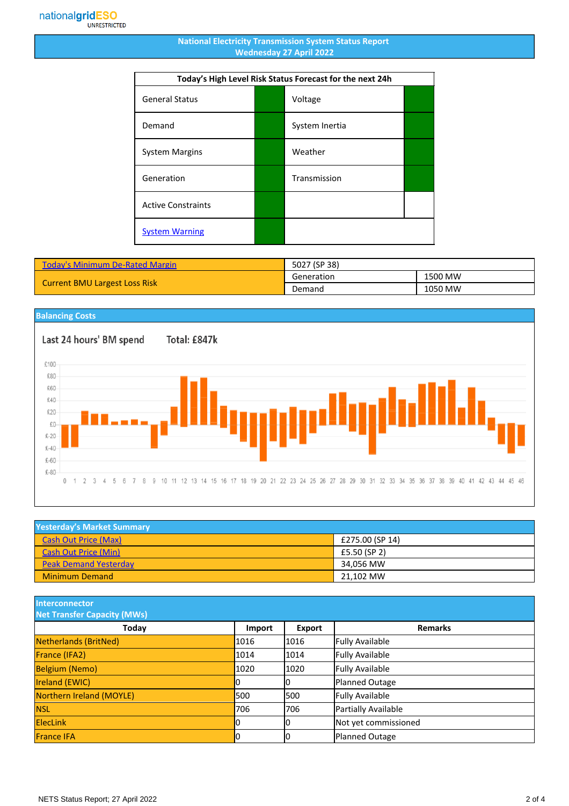## **National Electricity Transmission System Status Report Wednesday 27 April 2022**

| Today's High Level Risk Status Forecast for the next 24h |  |                |  |
|----------------------------------------------------------|--|----------------|--|
| <b>General Status</b>                                    |  | Voltage        |  |
| Demand                                                   |  | System Inertia |  |
| <b>System Margins</b>                                    |  | Weather        |  |
| Generation                                               |  | Transmission   |  |
| <b>Active Constraints</b>                                |  |                |  |
| <b>System Warning</b>                                    |  |                |  |

| Today's Minimum De-Rated Margin      | 5027 (SP 38) |         |
|--------------------------------------|--------------|---------|
| <b>Current BMU Largest Loss Risk</b> | Generation   | 1500 MW |
|                                      | Demand       | 1050 MW |

## **Balancing Costs**

Last 24 hours' BM spend Total: £847k £100 £80 £60 £40 £20  $E_{0}$  $£-20$  $£-40$ £-60  $£-80$ 0 1 2 3 4 5 6 7 8 9 10 11 12 13 14 15 16 17 18 19 20 21 22 23 24 25 26 27 28 29 30 31 32 33 34 35 36 37 38 39 40 41 42 43 44 45 46

| <b>Yesterday's Market Summary</b> |                 |  |
|-----------------------------------|-----------------|--|
| <b>Cash Out Price (Max)</b>       | £275.00 (SP 14) |  |
| <b>Cash Out Price (Min)</b>       | £5.50 (SP 2)    |  |
| <b>Peak Demand Yesterday</b>      | 34.056 MW       |  |
| <b>Minimum Demand</b>             | 21,102 MW       |  |

**Interconnector**

| <b>Net Transfer Capacity (MWs)</b> |        |        |                        |
|------------------------------------|--------|--------|------------------------|
| Today                              | Import | Export | <b>Remarks</b>         |
| Netherlands (BritNed)              | 1016   | 1016   | <b>Fully Available</b> |
| France (IFA2)                      | 1014   | 1014   | <b>Fully Available</b> |
| <b>Belgium (Nemo)</b>              | 1020   | 1020   | <b>Fully Available</b> |
| <b>Ireland (EWIC)</b>              |        | 10     | Planned Outage         |
| Northern Ireland (MOYLE)           | 500    | 1500   | <b>Fully Available</b> |
| <b>NSL</b>                         | 706    | 706    | Partially Available    |
| <b>ElecLink</b>                    |        | 10     | Not yet commissioned   |
| <b>France IFA</b>                  |        | lО     | Planned Outage         |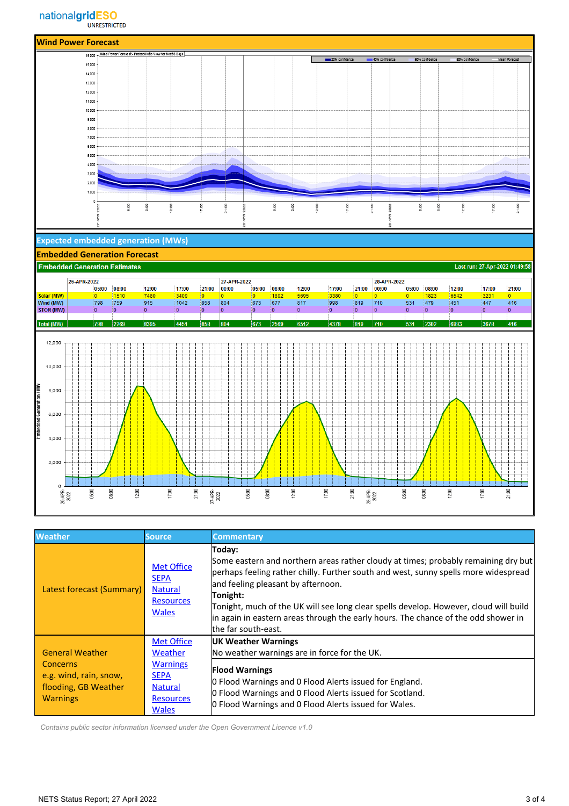

| <b>Weather</b>                                                                                                 | <b>Source</b>                                                                                                        | <b>Commentary</b>                                                                                                                                                                                                                                                                                                                                                                                                                           |
|----------------------------------------------------------------------------------------------------------------|----------------------------------------------------------------------------------------------------------------------|---------------------------------------------------------------------------------------------------------------------------------------------------------------------------------------------------------------------------------------------------------------------------------------------------------------------------------------------------------------------------------------------------------------------------------------------|
| Latest forecast (Summary)                                                                                      | <b>Met Office</b><br><b>SEPA</b><br><b>Natural</b><br><b>Resources</b><br><b>Wales</b>                               | Today:<br>Some eastern and northern areas rather cloudy at times; probably remaining dry but<br>perhaps feeling rather chilly. Further south and west, sunny spells more widespread<br>and feeling pleasant by afternoon.<br>Tonight:<br>Tonight, much of the UK will see long clear spells develop. However, cloud will build<br>in again in eastern areas through the early hours. The chance of the odd shower in<br>the far south-east. |
| <b>General Weather</b><br><b>Concerns</b><br>e.g. wind, rain, snow,<br>flooding, GB Weather<br><b>Warnings</b> | <b>Met Office</b><br>Weather<br><b>Warnings</b><br><b>SEPA</b><br><b>Natural</b><br><b>Resources</b><br><b>Wales</b> | <b>UK Weather Warnings</b><br>No weather warnings are in force for the UK.<br><b>Flood Warnings</b><br><b>O</b> Flood Warnings and O Flood Alerts issued for England.<br>O Flood Warnings and O Flood Alerts issued for Scotland.<br>O Flood Warnings and O Flood Alerts issued for Wales.                                                                                                                                                  |

 *Contains public sector information licensed under the Open Government Licence v1.0*